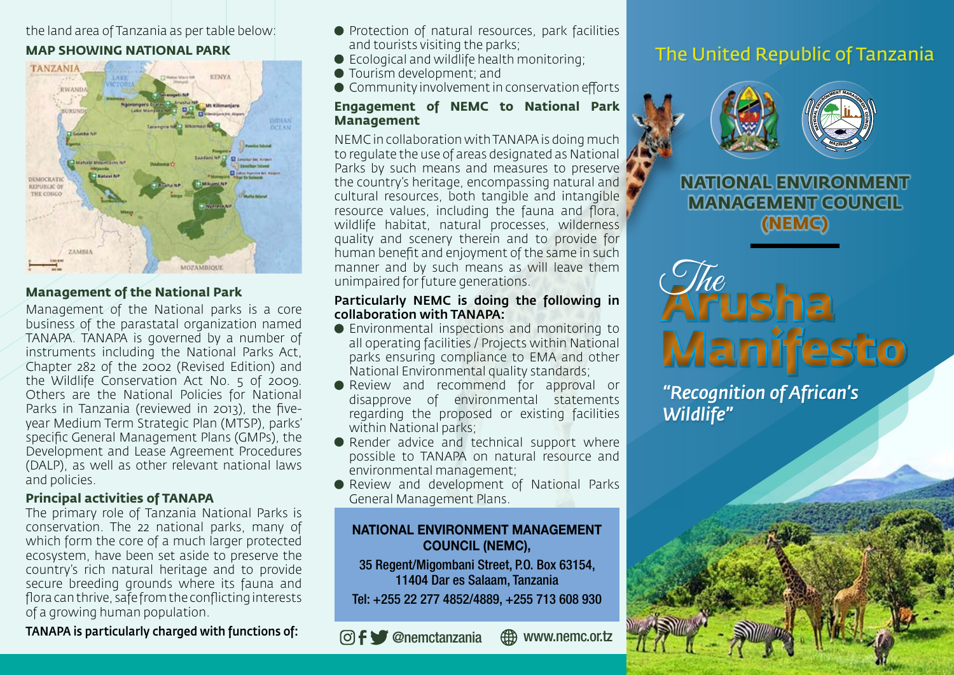## the land area of Tanzania as per table below: **MAP SHOWING NATIONAL PARK**



## **Management of the National Park**

Management of the National parks is a core business of the parastatal organization named TANAPA. TANAPA is governed by a number of instruments including the National Parks Act, Chapter 282 of the 2002 (Revised Edition) and the Wildlife Conservation Act No. 5 of 2009. Others are the National Policies for National Parks in Tanzania (reviewed in 2013), the fiveyear Medium Term Strategic Plan (MTSP), parks' specific General Management Plans (GMPs), the Development and Lease Agreement Procedures (DALP), as well as other relevant national laws and policies.

## **Principal activities of TANAPA**

The primary role of Tanzania National Parks is conservation. The 22 national parks, many of which form the core of a much larger protected ecosystem, have been set aside to preserve the country's rich natural heritage and to provide secure breeding grounds where its fauna and flora can thrive, safe from the conflicting interests of a growing human population.

TANAPA is particularly charged with functions of:

- **•** Protection of natural resources, park facilities and tourists visiting the parks;
- Ecological and wildlife health monitoring;
- Tourism development; and
- Community involvement in conservation efforts

#### **Engagement of NEMC to National Park Management**

NEMC in collaboration with TANAPA is doing much to regulate the use of areas designated as National Parks by such means and measures to preserve the country's heritage, encompassing natural and cultural resources, both tangible and intangible resource values, including the fauna and flora, wildlife habitat, natural processes, wilderness quality and scenery therein and to provide for human benefit and enjoyment of the same in such manner and by such means as will leave them unimpaired for future generations.

#### Particularly NEMC is doing the following in collaboration with TANAPA:

- Environmental inspections and monitoring to all operating facilities / Projects within National parks ensuring compliance to EMA and other National Environmental quality standards;
- Review and recommend for approval or disapprove of environmental statements regarding the proposed or existing facilities within National parks;
- Render advice and technical support where possible to TANAPA on natural resource and environmental management;
- Review and development of National Parks General Management Plans.

## NATIONAL ENVIRONMENT MANAGEMENT COUNCIL (NEMC),

35 Regent/Migombani Street, P.O. Box 63154, 11404 Dar es Salaam, Tanzania Tel: +255 22 277 4852/4889, +255 713 608 930

@nemctanzania www.nemc.or.tz

# The United Republic of Tanzania



**NATIONAL ENVIRONMENT MANAGEMENT COUNCIL (NEMC)**



*"Recognition of African's Wildlife"*